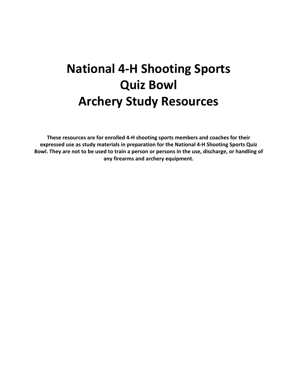# **National 4-H Shooting Sports Quiz Bowl Archery Study Resources**

**These resources are for enrolled 4-H shooting sports members and coaches for their expressed use as study materials in preparation for the National 4-H Shooting Sports Quiz Bowl. They are not to be used to train a person or persons in the use, discharge, or handling of any firearms and archery equipment.**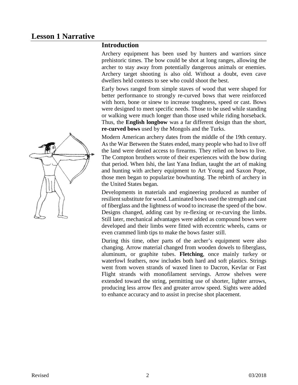#### **Introduction**

Archery equipment has been used by hunters and warriors since prehistoric times. The bow could be shot at long ranges, allowing the archer to stay away from potentially dangerous animals or enemies. Archery target shooting is also old. Without a doubt, even cave dwellers held contests to see who could shoot the best.

Early bows ranged from simple staves of wood that were shaped for better performance to strongly re-curved bows that were reinforced with horn, bone or sinew to increase toughness, speed or cast. Bows were designed to meet specific needs. Those to be used while standing or walking were much longer than those used while riding horseback. Thus, the **English longbow** was a far different design than the short, **re-curved bows** used by the Mongols and the Turks.

Modern American archery dates from the middle of the 19th century. As the War Between the States ended, many people who had to live off the land were denied access to firearms. They relied on bows to live. The Compton brothers wrote of their experiences with the bow during that period. When Ishi, the last Yana Indian, taught the art of making and hunting with archery equipment to Art Young and Saxon Pope, those men began to popularize bowhunting. The rebirth of archery in the United States began.

Developments in materials and engineering produced as number of resilient substitute for wood. Laminated bows used the strength and cast of fiberglass and the lightness of wood to increase the speed of the bow. Designs changed, adding cast by re-flexing or re-curving the limbs. Still later, mechanical advantages were added as compound bows were developed and their limbs were fitted with eccentric wheels, cams or even crammed limb tips to make the bows faster still.

During this time, other parts of the archer's equipment were also changing. Arrow material changed from wooden dowels to fiberglass, aluminum, or graphite tubes. **Fletching**, once mainly turkey or waterfowl feathers, now includes both hard and soft plastics. Strings went from woven strands of waxed linen to Dacron, Kevlar or Fast Flight strands with monofilament servings. Arrow shelves were extended toward the string, permitting use of shorter, lighter arrows, producing less arrow flex and greater arrow speed. Sights were added to enhance accuracy and to assist in precise shot placement.

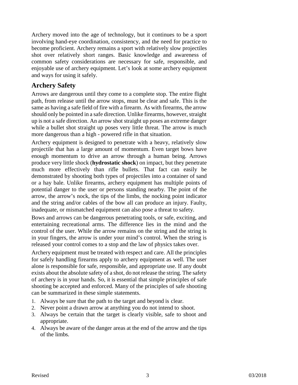Archery moved into the age of technology, but it continues to be a sport involving hand-eye coordination, consistency, and the need for practice to become proficient. Archery remains a sport with relatively slow projectiles shot over relatively short ranges. Basic knowledge and awareness of common safety considerations are necessary for safe, responsible, and enjoyable use of archery equipment. Let's look at some archery equipment and ways for using it safely.

#### **Archery Safety**

Arrows are dangerous until they come to a complete stop. The entire flight path, from release until the arrow stops, must be clear and safe. This is the same as having a safe field of fire with a firearm. As with firearms, the arrow should only be pointed in a safe direction. Unlike firearms, however, straight up is not a safe direction. An arrow shot straight up poses an extreme danger while a bullet shot straight up poses very little threat. The arrow is much more dangerous than a high - powered rifle in that situation.

Archery equipment is designed to penetrate with a heavy, relatively slow projectile that has a large amount of momentum. Even target bows have enough momentum to drive an arrow through a human being. Arrows produce very little shock (**hydrostatic shock**) on impact, but they penetrate much more effectively than rifle bullets. That fact can easily be demonstrated by shooting both types of projectiles into a container of sand or a hay bale. Unlike firearms, archery equipment has multiple points of potential danger to the user or persons standing nearby. The point of the arrow, the arrow's nock, the tips of the limbs, the nocking point indicator and the string and/or cables of the bow all can produce an injury. Faulty, inadequate, or mismatched equipment can also pose a threat to safety.

Bows and arrows can be dangerous penetrating tools, or safe, exciting, and entertaining recreational arms. The difference lies in the mind and the control of the user. While the arrow remains on the string and the string is in your fingers, the arrow is under your mind's control. When the string is released your control comes to a stop and the law of physics takes over.

Archery equipment must be treated with respect and care. All the principles for safely handling firearms apply to archery equipment as well. The user alone is responsible for safe, responsible, and appropriate use. If any doubt exists about the absolute safety of a shot, do not release the string. The safety of archery is in your hands. So, it is essential that simple principles of safe shooting be accepted and enforced. Many of the principles of safe shooting can be summarized in these simple statements.

- 1. Always be sure that the path to the target and beyond is clear.
- 2. Never point a drawn arrow at anything you do not intend to shoot.
- 3. Always be certain that the target is clearly visible, safe to shoot and appropriate.
- 4. Always be aware of the danger areas at the end of the arrow and the tips of the limbs.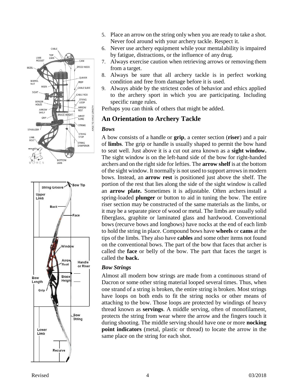

- 5. Place an arrow on the string only when you are ready to take a shot. Never fool around with your archery tackle. Respect it.
- 6. Never use archery equipment while your mentalability is impaired by fatigue, distractions, or the influence of any drug.
- 7. Always exercise caution when retrieving arrows or removing them from a target.
- 8. Always be sure that all archery tackle is in perfect working condition and free from damage before it is used.
- 9. Always abide by the strictest codes of behavior and ethics applied to the archery sport in which you are participating. Including specific range rules.

Perhaps you can think of others that might be added.

#### **An Orientation to Archery Tackle**

#### *Bows*

A bow consists of a handle or **grip**, a center section (**riser**) and a pair of **limbs**. The grip or handle is usually shaped to permit the bow hand to seat well. Just above it is a cut out area known as a **sight window.**  The sight window is on the left-hand side of the bow for right-handed archers and on the right side for lefties. The **arrow shelf** is at the bottom of the sight window. It normally is not used to support arrows in modern bows. Instead, an **arrow rest** is positioned just above the shelf. The portion of the rest that lies along the side of the sight window is called an **arrow plate.** Sometimes it is adjustable. Often archers install a spring-loaded **plunger** or button to aid in tuning the bow. The entire riser section may be constructed of the same materials as the limbs, or it may be a separate piece of wood or metal. The limbs are usually solid fiberglass, graphite or laminated glass and hardwood. Conventional bows (recurve bows and longbows) have nocks at the end of each limb to hold the string in place. Compound bows have **wheels** or **cams** at the tips of the limbs. They also have **cables** and some other items not found on the conventional bows. The part of the bow that faces that archer is called the **face** or belly of the bow. The part that faces the target is called the **back.**

#### *Bow Strings*

Almost all modern bow strings are made from a continuous strand of Dacron or some other string material looped several times. Thus, when one strand of a string is broken, the entire string is broken. Most strings have loops on both ends to fit the string nocks or other means of attaching to the bow. Those loops are protected by windings of heavy thread known as **servings**. A middle serving, often of monofilament, protects the string from wear where the arrow and the fingers touch it during shooting. The middle serving should have one or more **nocking point indicators** (metal, plastic or thread) to locate the arrow in the same place on the string for each shot.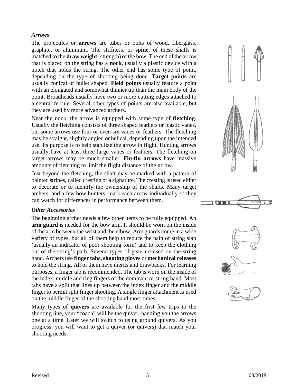#### *Arrows*

The projectiles or **arrows** are tubes or bolts of wood, fiberglass, graphite, or aluminum. The stiffness, or **spine**, of these shafts is matched to the **draw weight** (strength) of the bow. The end of the arrow that is placed on the string has a **nock**, usually a plastic device with a notch that holds the string. The other end has some type of point, depending on the type of shooting being done. **Target points** are usually conical or bullet shaped. **Field points** usually feature a point with an elongated and somewhat thinner tip than the main body of the point. Broadheads usually have two or more cutting edges attached to a central ferrule. Several other types of points are also available, but they are used by more advanced archers.

Near the nock, the arrow is equipped with some type of **fletching**. Usually the fletching consists of three shaped feathers or plastic vanes, but some arrows use four or even six vanes or feathers. The fletching may be straight, slightly angled or helical, depending upon the intended use. Its purpose is to help stabilize the arrow in flight. Hunting arrows usually have at least three large vanes or feathers. The fletching on target arrows may be much smaller. **Flu-flu arrows** have massive amounts of fletching to limit the flight distance of the arrow.

Just beyond the fletching, the shaft may be marked with a pattern of painted stripes, called cresting or a signature. The cresting is used either to decorate or to identify the ownership of the shafts. Many target archers, and a few bow hunters, mark each arrow individually so they can watch for differences in performance between them.

#### *Other Accessories*

The beginning archer needs a few other items to be fully equipped. An a**rm guard** is needed for the bow arm. It should be worn on the inside of the arm between the wrist and the elbow. Arm guards come in a wide variety of types, but all of them help to reduce the pain of string slap (usually an indicator of poor shooting form) and to keep the clothing out of the string's path. Several types of gear are used on the string hand. Archers use **finger tabs, shooting gloves** or **mechanical releases**  to hold the string. All of them have merits and drawbacks. For learning purposes, a finger tab is recommended. The tab is worn on the inside of the index, middle and ring fingers of the dominant or string hand. Most tabs have a split that lines up between the index finger and the middle finger to permit split finger shooting. A single finger attachment is used on the middle finger of the shooting hand most times.

Many types of **quivers** are available for the first few trips to the shooting line, your "coach" will be the quiver, handing you the arrows one at a time. Later we will switch to using ground quivers. As you progress, you will want to get a quiver (or quivers) that match your shooting needs.





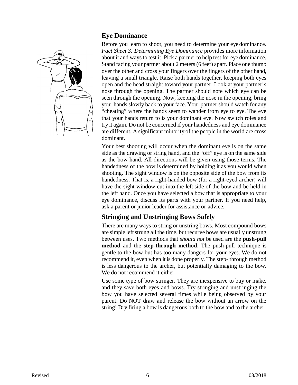

#### **Eye Dominance**

Before you learn to shoot, you need to determine your eye dominance. *Fact Sheet 3: Determining Eye Dominance* provides more information about it and waysto test it. Pick a partner to help test for eye dominance. Stand facing your partner about 2 meters(6 feet) apart. Place one thumb over the other and cross your fingers over the fingers of the other hand, leaving a small triangle. Raise both hands together, keeping both eyes open and the head straight toward your partner. Look at your partner's nose through the opening. The partner should note which eye can be seen through the opening. Now, keeping the nose in the opening, bring your hands slowly back to your face. Your partner should watch for any "cheating" where the hands seem to wander from eye to eye. The eye that your hands return to is your dominant eye. Now switch roles and try it again. Do not be concerned if your handedness and eye dominance are different. A significant minority of the people in the world are cross dominant.

Your best shooting will occur when the dominant eye is on the same side as the drawing or string hand, and the "off" eye is on the same side as the bow hand. All directions will be given using those terms. The handedness of the bow is determined by holding it as you would when shooting. The sight window is on the opposite side of the bow from its handedness. That is, a right-handed bow (for a right-eyed archer) will have the sight window cut into the left side of the bow and be held in the left hand. Once you have selected a bow that is appropriate to your eye dominance, discuss its parts with your partner. If you need help, ask a parent or junior leader for assistance or advice.

#### **Stringing and Unstringing Bows Safely**

There are many ways to string or unstring bows. Most compound bows are simple left strung all the time, but recurve bows are usually unstrung between uses. Two methods that *should not* be used are the **push-pull method** and the **step-through method**. The push-pull technique is gentle to the bow but has too many dangers for your eyes. We do not recommend it, even when it is done properly. The step- through method is less dangerous to the archer, but potentially damaging to the bow. We do not recommend it either.

Use some type of bow stringer. They are inexpensive to buy or make, and they save both eyes and bows. Try stringing and unstringing the bow you have selected several times while being observed by your parent. Do NOT draw and release the bow without an arrow on the string! Dry firing a bow is dangerous both to the bow and to the archer.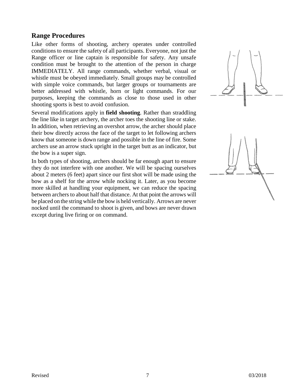#### **Range Procedures**

Like other forms of shooting, archery operates under controlled conditions to ensure the safety of all participants. Everyone, not just the Range officer or line captain is responsible for safety. Any unsafe condition must be brought to the attention of the person in charge IMMEDIATELY. All range commands, whether verbal, visual or whistle must be obeyed immediately. Small groups may be controlled with simple voice commands, but larger groups or tournaments are better addressed with whistle, horn or light commands. For our purposes, keeping the commands as close to those used in other shooting sports is best to avoid confusion.

Several modifications apply in **field shooting**. Rather than straddling the line like in target archery, the archer toes the shooting line or stake. In addition, when retrieving an overshot arrow, the archer should place their bow directly across the face of the target to let following archers know that someone is down range and possible in the line of fire. Some archers use an arrow stuck upright in the target butt as an indicator, but the bow is a super sign.

In both types of shooting, archers should be far enough apart to ensure they do not interfere with one another. We will be spacing ourselves about 2 meters (6 feet) apart since our first shot will be made using the bow as a shelf for the arrow while nocking it. Later, as you become more skilled at handling your equipment, we can reduce the spacing between archers to about half that distance. At that point the arrows will be placed on the string while the bow is held vertically. Arrows are never nocked until the command to shoot is given, and bows are never drawn except during live firing or on command.

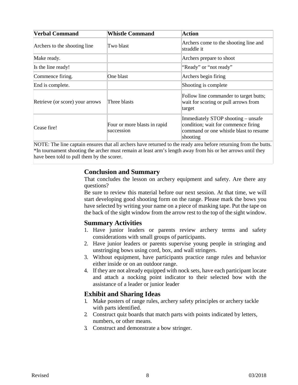| <b>Verbal Command</b>           | <b>Whistle Command</b>                     | <b>Action</b>                                                                                                                   |
|---------------------------------|--------------------------------------------|---------------------------------------------------------------------------------------------------------------------------------|
| Archers to the shooting line    | Two blast                                  | Archers come to the shooting line and<br>straddle it                                                                            |
| Make ready.                     |                                            | Archers prepare to shoot                                                                                                        |
| Is the line ready!              |                                            | "Ready" or "not ready"                                                                                                          |
| Commence firing.                | One blast                                  | Archers begin firing                                                                                                            |
| End is complete.                |                                            | Shooting is complete                                                                                                            |
| Retrieve (or score) your arrows | Three blasts                               | Follow line commander to target butts;<br>wait for scoring or pull arrows from<br>target                                        |
| Cease fire!                     | Four or more blasts in rapid<br>succession | Immediately STOP shooting – unsafe<br>condition; wait for commence firing<br>command or one whistle blast to resume<br>shooting |

NOTE: The line captain ensures that all archers have returned to the ready area before returning from the butts. \*In tournament shooting the archer must remain at least arm's length away from his or her arrows until they have been told to pull them by the scorer.

#### **Conclusion and Summary**

That concludes the lesson on archery equipment and safety. Are there any questions?

Be sure to review this material before our next session. At that time, we will start developing good shooting form on the range. Please mark the bows you have selected by writing your name on a piece of masking tape. Put the tape on the back of the sight window from the arrow rest to the top of the sight window.

#### **Summary Activities**

- 1. Have junior leaders or parents review archery terms and safety considerations with small groups of participants.
- 2. Have junior leaders or parents supervise young people in stringing and unstringing bows using cord, box, and wall stringers.
- 3. Without equipment, have participants practice range rules and behavior either inside or on an outdoor range.
- 4. If they are not already equipped with nock sets, have each participant locate and attach a nocking point indicator to their selected bow with the assistance of a leader or junior leader

#### **Exhibit and Sharing Ideas**

- 1. Make posters of range rules, archery safety principles or archery tackle with parts identified.
- 2. Construct quiz boards that match parts with points indicated by letters, numbers, or other means.
- 3. Construct and demonstrate a bow stringer.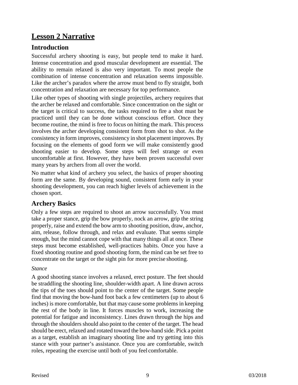# **Lesson 2 Narrative**

#### **Introduction**

Successful archery shooting is easy, but people tend to make it hard. Intense concentration and good muscular development are essential. The ability to remain relaxed is also very important. To most people the combination of intense concentration and relaxation seems impossible. Like the archer's paradox where the arrow must bend to fly straight, both concentration and relaxation are necessary for top performance.

Like other types of shooting with single projectiles, archery requires that the archer be relaxed and comfortable. Since concentration on the sight or the target is critical to success, the tasks required to fire a shot must be practiced until they can be done without conscious effort. Once they become routine, the mind is free to focus on hitting the mark. This process involves the archer developing consistent form from shot to shot. As the consistency in form improves, consistency in shot placement improves. By focusing on the elements of good form we will make consistently good shooting easier to develop. Some steps will feel strange or even uncomfortable at first. However, they have been proven successful over many years by archers from all over the world.

No matter what kind of archery you select, the basics of proper shooting form are the same. By developing sound, consistent form early in your shooting development, you can reach higher levels of achievement in the chosen sport.

#### **Archery Basics**

Only a few steps are required to shoot an arrow successfully. You must take a proper stance, grip the bow properly, nock an arrow, grip the string properly, raise and extend the bow arm to shooting position, draw, anchor, aim, release, follow through, and relax and evaluate. That seems simple enough, but the mind cannot cope with that many things all at once. These steps must become established, well-practices habits. Once you have a fixed shooting routine and good shooting form, the mind can be set free to concentrate on the target or the sight pin for more precise shooting.

#### *Stance*

A good shooting stance involves a relaxed, erect posture. The feet should be straddling the shooting line, shoulder-width apart. A line drawn across the tips of the toes should point to the center of the target. Some people find that moving the bow-hand foot back a few centimeters (up to about 6 inches) is more comfortable, but that may cause some problems in keeping the rest of the body in line. It forces muscles to work, increasing the potential for fatigue and inconsistency. Lines drawn through the hips and through the shoulders should also point to the center of the target. The head should be erect, relaxed and rotated toward the bow-hand side. Pick a point as a target, establish an imaginary shooting line and try getting into this stance with your partner's assistance. Once you are comfortable, switch roles, repeating the exercise until both of you feel comfortable.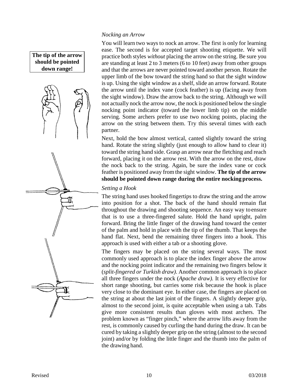#### **The tip of the arrow should be pointed down range!**



#### *Nocking an Arrow*

You will learn two ways to nock an arrow. The first is only for learning ease. The second is for accepted target shooting etiquette. We will practice both styles *without* placing the arrow on the string. Be sure you are standing at least 2 to 3 meters (6 to 10 feet) away from other groups and that the arrows are never pointed toward another person. Rotate the upper limb of the bow toward the string hand so that the sight window is up. Using the sight window as a shelf, slide an arrow forward. Rotate the arrow until the index vane (cock feather) is up (facing away from the sight window). Draw the arrow back to the string. Although we will not actually nock the arrow now, the nock is positioned below the single nocking point indicator (toward the lower limb tip) on the middle serving. Some archers prefer to use two nocking points, placing the arrow on the string between them. Try this several times with each partner.

Next, hold the bow almost vertical, canted slightly toward the string hand. Rotate the string slightly (just enough to allow hand to clear it) toward the string hand side. Grasp an arrow near the fletching and reach forward, placing it on the arrow rest. With the arrow on the rest, draw the nock back to the string. Again, be sure the index vane or cock feather is positioned away from the sight window. **The tip of the arrow should be pointed down range during the entire nocking process.**

#### *Setting a Hook*

The string hand uses hooked fingertips to draw the string and the arrow into position for a shot. The back of the hand should remain flat throughout the drawing and shooting sequence. An easy way toensure that is to use a three-fingered salute. Hold the hand upright, palm forward. Bring the little finger of the drawing hand toward the center of the palm and hold in place with the tip of the thumb. That keeps the hand flat. Next, bend the remaining three fingers into a hook. This approach is used with either a tab or a shooting glove.

The fingers may be placed on the string several ways. The most commonly used approach is to place the index finger above the arrow and the nocking point indicator and the remaining two fingers below it (*split-fingered or Turkish draw)*. Another common approach is to place all three fingers under the nock (*Apache draw).* It is very effective for short range shooting, but carries some risk because the hook is place very close to the dominant eye. In either case, the fingers are placed on the string at about the last joint of the fingers. A slightly deeper grip, almost to the second joint, is quite acceptable when using a tab. Tabs give more consistent results than gloves with most archers. The problem known as "finger pinch," where the arrow lifts away from the rest, is commonly caused by curling the hand during the draw. It can be cured by taking a slightly deeper grip on the string (almost to the second joint) and/or by folding the little finger and the thumb into the palm of the drawing hand.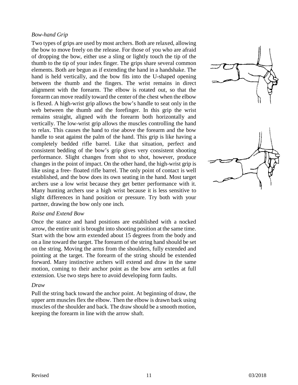#### *Bow-hand Grip*

Two types of grips are used by most archers. Both are relaxed, allowing the bow to move freely on the release. For those of you who are afraid of dropping the bow, either use a sling or lightly touch the tip of the thumb to the tip of your index finger. The grips share several common elements. Both are begun as if extending the hand in a handshake. The hand is held vertically, and the bow fits into the U-shaped opening between the thumb and the fingers. The wrist remains in direct alignment with the forearm. The elbow is rotated out, so that the forearm can move readily toward the center of the chest when the elbow is flexed. A high-wrist grip allows the bow's handle to seat only in the web between the thumb and the forefinger. In this grip the wrist remains straight, aligned with the forearm both horizontally and vertically. The low-wrist grip allows the muscles controlling the hand to relax. This causes the hand to rise above the forearm and the bow handle to seat against the palm of the hand. This grip is like having a completely bedded rifle barrel. Like that situation, perfect and consistent bedding of the bow's grip gives very consistent shooting performance. Slight changes from shot to shot, however, produce changes in the point of impact. On the other hand, the high-wrist grip is like using a free- floated rifle barrel. The only point of contact is well established, and the bow does its own seating in the hand. Most target archers use a low wrist because they get better performance with it. Many hunting archers use a high wrist because it is less sensitive to slight differences in hand position or pressure. Try both with your partner, drawing the bow only one inch.



#### *Raise and Extend Bow*

Once the stance and hand positions are established with a nocked arrow, the entire unit is brought into shooting position at the same time. Start with the bow arm extended about 15 degrees from the body and on a line toward the target. The forearm of the string hand should be set on the string. Moving the arms from the shoulders, fully extended and pointing at the target. The forearm of the string should be extended forward. Many instinctive archers will extend and draw in the same motion, coming to their anchor point as the bow arm settles at full extension. Use two steps here to avoid developing form faults.

#### *Draw*

Pull the string back toward the anchor point. At beginning of draw, the upper arm muscles flex the elbow. Then the elbow is drawn back using muscles of the shoulder and back. The draw should be a smooth motion, keeping the forearm in line with the arrow shaft.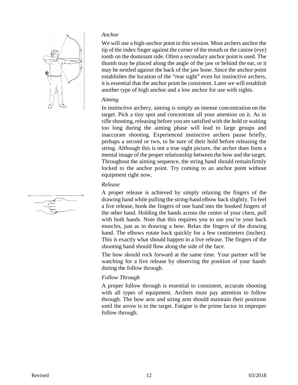

#### *Anchor*

We will use a high-anchor point in this session. Most archers anchor the tip of the index finger against the corner of the mouth or the canine (eye) tooth on the dominant side. Often a secondary anchor point is used. The thumb may be placed along the angle of the jaw or behind the ear, or it may be nestled against the back of the jaw bone. Since the anchor point establishes the location of the "rear sight" even for instinctive archers, it is essential that the anchor point be consistent. Later we will establish another type of high anchor and a low anchor for use with sights.

#### *Aiming*

In instinctive archery, aiming is simply an intense concentration on the target. Pick a tiny spot and concentrate all your attention on it. As in rifle shooting, releasing before you are satisfied with the hold or waiting too long during the aiming phase will lead to large groups and inaccurate shooting. Experienced instinctive archers pause briefly, perhaps a second or two, to be sure of their hold before releasing the string. Although this is not a true sight picture, the archer does form a mental image of the proper relationship between the bow and the target. Throughout the aiming sequence, the string hand should remainfirmly locked to the anchor point. Try coming to an anchor point without equipment right now.

#### *Release*

A proper release is achieved by simply relaxing the fingers of the drawing hand while pulling the string-hand elbow back slightly. To feel a live release, hook the fingers of one hand into the hooked fingers of the other hand. Holding the hands across the center of your chest, pull with both hands. Note that this requires you to use you're your back muscles, just as in drawing a bow. Relax the fingers of the drawing hand. The elbows rotate back quickly for a few centimeters (inches). This is exactly what should happen in a live release. The fingers of the shooting hand should flow along the side of the face.

The bow should rock forward at the same time. Your partner will be watching for a live release by observing the position of your hands during the follow through.

#### *Follow Through*

A proper follow through is essential to consistent, accurate shooting with all types of equipment. Archers must pay attention to follow through. The bow arm and string arm should maintain their positions until the arrow is in the target. Fatigue is the prime factor in improper follow through.

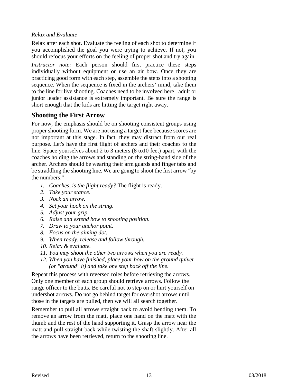#### *Relax and Evaluate*

Relax after each shot. Evaluate the feeling of each shot to determine if you accomplished the goal you were trying to achieve. If not, you should refocus your efforts on the feeling of proper shot and try again.

*Instructor note:* Each person should first practice these steps individually without equipment or use an air bow. Once they are practicing good form with each step, assemble the steps into a shooting sequence. When the sequence is fixed in the archers' mind, take them to the line for live shooting. Coaches need to be involved here –adult or junior leader assistance is extremely important. Be sure the range is short enough that the kids are hitting the target right away.

#### **Shooting the First Arrow**

For now, the emphasis should be on shooting consistent groups using proper shooting form. We are not using a target face because scores are not important at this stage. In fact, they may distract from our real purpose. Let's have the first flight of archers and their coaches to the line. Space yourselves about 2 to 3 meters (8 to10 feet) apart, with the coaches holding the arrows and standing on the string-hand side of the archer. Archers should be wearing their arm guards and finger tabs and be straddling the shooting line. We are going to shoot the first arrow "by the numbers."

- *1. Coaches, is the flight ready?* The flight is ready.
- *2. Take your stance.*
- *3. Nock an arrow.*
- *4. Set your hook on the string.*
- *5. Adjust your grip.*
- *6. Raise and extend bow to shooting position.*
- *7. Draw to your anchor point.*
- *8. Focus on the aiming dot.*
- *9. When ready, release and follow through.*
- *10. Relax & evaluate.*
- *11. You may shoot the other two arrows when you are ready.*
- *12. When you have finished, place your bow on the ground quiver (or "ground" it) and take one step back off the line.*

Repeat this process with reversed roles before retrieving the arrows. Only one member of each group should retrieve arrows. Follow the range officer to the butts. Be careful not to step on or hurt yourself on undershot arrows. Do not go behind target for overshot arrows until those in the targets are pulled, then we will all search together.

Remember to pull all arrows straight back to avoid bending them. To remove an arrow from the matt, place one hand on the matt with the thumb and the rest of the hand supporting it. Grasp the arrow near the matt and pull straight back while twisting the shaft slightly. After all the arrows have been retrieved, return to the shooting line.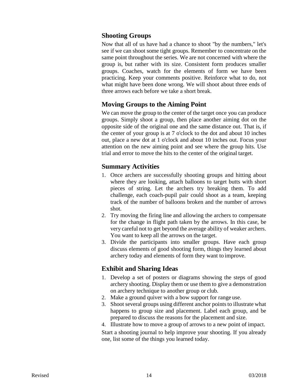#### **Shooting Groups**

Now that all of us have had a chance to shoot "by the numbers," let's see if we can shoot some tight groups. Remember to concentrate on the same point throughout the series. We are not concerned with where the group is, but rather with its size. Consistent form produces smaller groups. Coaches, watch for the elements of form we have been practicing. Keep your comments positive. Reinforce what to do, not what might have been done wrong. We will shoot about three ends of three arrows each before we take a short break.

#### **Moving Groups to the Aiming Point**

We can move the group to the center of the target once you can produce groups. Simply shoot a group, then place another aiming dot on the opposite side of the original one and the same distance out. That is, if the center of your group is at 7 o'clock to the dot and about 10 inches out, place a new dot at 1 o'clock and about 10 inches out. Focus your attention on the new aiming point and see where the group hits. Use trial and error to move the hits to the center of the original target.

#### **Summary Activities**

- 1. Once archers are successfully shooting groups and hitting about where they are looking, attach balloons to target butts with short pieces of string. Let the archers try breaking them. To add challenge, each coach-pupil pair could shoot as a team, keeping track of the number of balloons broken and the number of arrows shot.
- 2. Try moving the firing line and allowing the archers to compensate for the change in flight path taken by the arrows. In this case, be very careful not to get beyond the average ability of weaker archers. You want to keep all the arrows on the target.
- 3. Divide the participants into smaller groups. Have each group discuss elements of good shooting form, things they learned about archery today and elements of form they want to improve.

#### **Exhibit and Sharing Ideas**

- 1. Develop a set of posters or diagrams showing the steps of good archery shooting. Display them or use them to give a demonstration on archery technique to another group or club.
- 2. Make a ground quiver with a bow support for range use.
- 3. Shoot several groups using different anchor points to illustrate what happens to group size and placement. Label each group, and be prepared to discuss the reasons for the placement and size.
- 4. Illustrate how to move a group of arrows to a new point of impact.

Start a shooting journal to help improve your shooting. If you already one, list some of the things you learned today.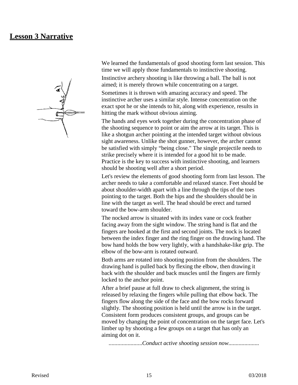#### **Lesson 3 Narrative**

We learned the fundamentals of good shooting form last session. This time we will apply those fundamentals to instinctive shooting.

Instinctive archery shooting is like throwing a ball. The ball is not aimed; it is merely thrown while concentrating on a target.

Sometimes it is thrown with amazing accuracy and speed. The instinctive archer uses a similar style. Intense concentration on the exact spot he or she intends to hit, along with experience, results in hitting the mark without obvious aiming.

The hands and eyes work together during the concentration phase of the shooting sequence to point or aim the arrow at its target. This is like a shotgun archer pointing at the intended target without obvious sight awareness. Unlike the shot gunner, however, the archer cannot be satisfied with simply "being close." The single projectile needs to strike precisely where it is intended for a good hit to be made. Practice is the key to success with instinctive shooting, and learners should be shooting well after a short period.

Let's review the elements of good shooting form from last lesson. The archer needs to take a comfortable and relaxed stance. Feet should be about shoulder-width apart with a line through the tips of the toes pointing to the target. Both the hips and the shoulders should be in line with the target as well. The head should be erect and turned toward the bow-arm shoulder.

The nocked arrow is situated with its index vane or cock feather facing away from the sight window. The string hand is flat and the fingers are hooked at the first and second joints. The nock is located between the index finger and the ring finger on the drawing hand. The bow hand holds the bow very lightly, with a handshake-like grip. The elbow of the bow-arm is rotated outward.

Both arms are rotated into shooting position from the shoulders. The drawing hand is pulled back by flexing the elbow, then drawing it back with the shoulder and back muscles until the fingers are firmly locked to the anchor point.

After a brief pause at full draw to check alignment, the string is released by relaxing the fingers while pulling that elbow back. The fingers flow along the side of the face and the bow rocks forward slightly. The shooting position is held until the arrow is in the target. Consistent form produces consistent groups, and groups can be moved by changing the point of concentration on the target face. Let's limber up by shooting a few groups on a target that has only an aiming dot on it.

.......................*Conduct active shooting session now.....................*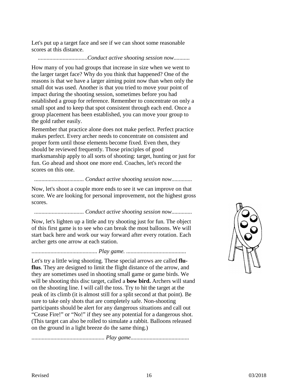Let's put up a target face and see if we can shoot some reasonable scores at this distance.

#### ..................................*Conduct active shooting session now...........*

How many of you had groups that increase in size when we went to the larger target face? Why do you think that happened? One of the reasons is that we have a larger aiming point now than when only the small dot was used. Another is that you tried to move your point of impact during the shooting session, sometimes before you had established a group for reference. Remember to concentrate on only a small spot and to keep that spot consistent through each end. Once a group placement has been established, you can move your group to the gold rather easily.

Remember that practice alone does not make perfect. Perfect practice makes perfect. Every archer needs to concentrate on consistent and proper form until those elements become fixed. Even then, they should be reviewed frequently. Those principles of good marksmanship apply to all sorts of shooting: target, hunting or just for fun. Go ahead and shoot one more end. Coaches, let's record the scores on this one.

#### .................................. *Conduct active shooting session now..............*

Now, let's shoot a couple more ends to see it we can improve on that score. We are looking for personal improvement, not the highest gross scores.

#### .................................. *Conduct active shooting session now..............*

Now, let's lighten up a little and try shooting just for fun. The object of this first game is to see who can break the most balloons. We will start back here and work our way forward after every rotation. Each archer gets one arrow at each station.

#### ............................................. *Play game. .........................................*

Let's try a little wing shooting. These special arrows are called **fluflus**. They are designed to limit the flight distance of the arrow, and they are sometimes used in shooting small game or game birds. We will be shooting this disc target, called a **bow bird.** Archers will stand on the shooting line. I will call the toss. Try to hit the target at the peak of its climb (it is almost still for a split second at that point). Be sure to take only shots that are completely safe. Non-shooting participants should be alert for any dangerous situations and call out "Cease Fire!" or "No!" if they see any potential for a dangerous shot. (This target can also be rolled to simulate a rabbit. Balloons released on the ground in a light breeze do the same thing.)

.................................................. *Play game........................................*

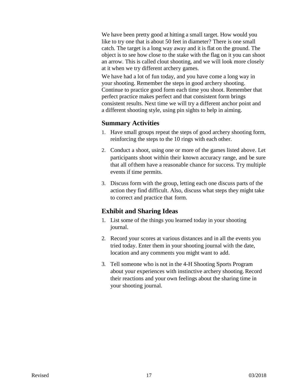We have been pretty good at hitting a small target. How would you like to try one that is about 50 feet in diameter? There is one small catch. The target is a long way away and it is flat on the ground. The object is to see how close to the stake with the flag on it you can shoot an arrow. This is called clout shooting, and we will look more closely at it when we try different archery games.

We have had a lot of fun today, and you have come a long way in your shooting. Remember the steps in good archery shooting. Continue to practice good form each time you shoot. Remember that perfect practice makes perfect and that consistent form brings consistent results. Next time we will try a different anchor point and a different shooting style, using pin sights to help in aiming.

#### **Summary Activities**

- 1. Have small groups repeat the steps of good archery shooting form, reinforcing the steps to the 10 rings with each other.
- 2. Conduct a shoot, using one or more of the games listed above. Let participants shoot within their known accuracy range, and be sure that all ofthem have a reasonable chance for success. Try multiple events if time permits.
- 3. Discuss form with the group, letting each one discuss parts of the action they find difficult. Also, discuss what steps they might take to correct and practice that form.

#### **Exhibit and Sharing Ideas**

- 1. List some of the things you learned today in your shooting journal.
- 2. Record your scores at various distances and in all the events you tried today. Enter them in your shooting journal with the date, location and any comments you might want to add.
- 3. Tell someone who is not in the 4-H Shooting Sports Program about your experiences with instinctive archery shooting. Record their reactions and your own feelings about the sharing time in your shooting journal.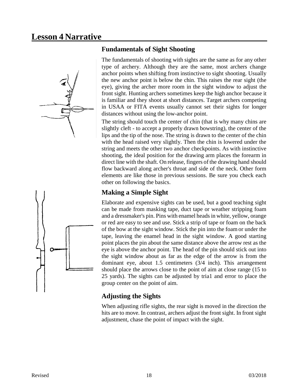# **Lesson 4 Narrative**



#### **Fundamentals of Sight Shooting**

The fundamentals of shooting with sights are the same as for any other type of archery. Although they are the same, most archers change anchor points when shifting from instinctive to sight shooting. Usually the new anchor point is below the chin. This raises the rear sight (the eye), giving the archer more room in the sight window to adjust the front sight. Hunting archers sometimes keep the high anchor because it is familiar and they shoot at short distances. Target archers competing in USAA or FITA events usually cannot set their sights for longer distances without using the low-anchor point.

The string should touch the center of chin (that is why many chins are slightly cleft - to accept a properly drawn bowstring), the center of the lips and the tip of the nose. The string is drawn to the center of the chin with the head raised very slightly. Then the chin is lowered under the string and meets the other two anchor checkpoints. As with instinctive shooting, the ideal position for the drawing arm places the forearm in direct line with the shaft. On release, fingers of the drawing hand should flow backward along archer's throat and side of the neck. Other form elements are like those in previous sessions. Be sure you check each other on following the basics.

### **Making a Simple Sight**

Elaborate and expensive sights can be used, but a good teaching sight can be made from masking tape, duct tape or weather stripping foam and a dressmaker's pin. Pins with enamel heads in white, yellow, orange or red are easy to see and use. Stick a strip of tape or foam on the back of the bow at the sight window. Stick the pin into the foam or under the tape, leaving the enamel head in the sight window. A good starting point places the pin about the same distance above the arrow rest as the eye is above the anchor point. The head of the pin should stick out into the sight window about as far as the edge of the arrow is from the dominant eye, about 1.5 centimeters (3/4 inch). This arrangement should place the arrows close to the point of aim at close range (15 to 25 yards). The sights can be adjusted by tria1 and error to place the group center on the point of aim.

## **Adjusting the Sights**

When adjusting rifle sights, the rear sight is moved in the direction the hits are to move. In contrast, archers adjust the front sight. In front sight adjustment, chase the point of impact with the sight.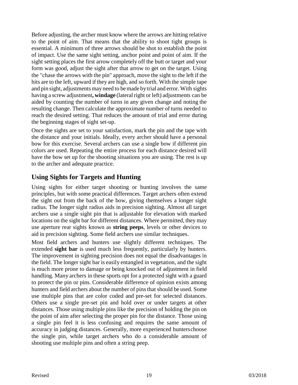Before adjusting, the archer must know where the arrows are hitting relative to the point of aim. That means that the ability to shoot tight groups is essential. A minimum of three arrows should be shot to establish the point of impact. Use the same sight setting, anchor point and point of aim. If the sight setting places the first arrow completely off the butt or target and your form was good, adjust the sight after that arrow to get on the target. Using the "chase the arrows with the pin" approach, move the sight to the left if the hits are to the left, upward if they are high, and so forth. With the simple tape and pin sight, adjustments may need to bemade bytrial and error. With sights having a screw adjustment, **windage** (lateral right or left) adjustments can be aided by counting the number of turns in any given change and noting the resulting change. Then calculate the approximate number of turns needed to reach the desired setting. That reduces the amount of trial and error during the beginning stages of sight set-up.

Once the sights are set to your satisfaction, mark the pin and the tape with the distance and your initials. Ideally, every archer should have a personal bow for this exercise. Several archers can use a single bow if different pin colors are used. Repeating the entire process for each distance desired will have the bow set up for the shooting situations you are using. The rest is up to the archer and adequate practice.

#### **Using Sights for Targets and Hunting**

Using sights for either target shooting or hunting involves the same principles, but with some practical differences. Target archers often extend the sight out from the back of the bow, giving themselves a longer sight radius. The longer sight radius aids in precision sighting. Almost all target archers use a single sight pin that is adjustable for elevation with marked locations on the sight bar for different distances. Where permitted, they may use aperture rear sights known as **string peeps**, levels or other devices to aid in precision sighting. Some field archers use similar techniques.

Most field archers and hunters use slightly different techniques. The extended **sight bar** is used much less frequently, particularly by hunters. The improvement in sighting precision does not equal the disadvantages in the field. The longer sight bar is easily entangled in vegetation, and the sight is much more prone to damage or being knocked out of adjustment in field handling. Many archers in these sports opt for a protected sight with a guard to protect the pin or pins. Considerable difference of opinion exists among hunters and field archers about the number of pins that should be used. Some use multiple pins that are color coded and pre-set for selected distances. Others use a single pre-set pin and hold over or under targets at other distances. Those using multiple pins like the precision of holding the pin on the point of aim after selecting the proper pin for the distance. Those using a single pin feel it is less confusing and requires the same amount of accuracy in judging distances. Generally, more experienced hunterschoose the single pin, while target archers who do a considerable amount of shooting use multiple pins and often a string peep.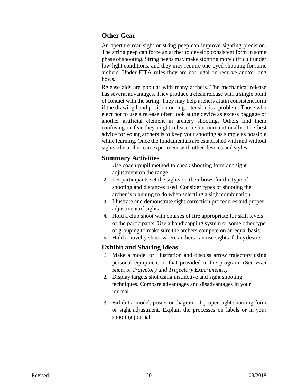#### **Other Gear**

An aperture rear sight or string peep can improve sighting precision. The string peep can force an archer to develop consistent form in some phase of shooting. String peeps may make sighting more difficult under low light conditions, and they may require one-eyed shooting forsome archers. Under FITA rules they are not legal on recurve and/or long bows.

Release aids are popular with many archers. The mechanical release hasseveral advantages. They produce a clean release with a single point of contact with the string. They may help archers attain consistent form if the drawing hand position or finger tension is a problem. Those who elect not to use a release often look at the device as excess baggage or another artificial element in archery shooting. Others find them confusing or fear they might release a shot unintentionally. The best advice for young archers is to keep your shooting as simple as possible while learning. Once the fundamentals are established with and without sights, the archer can experiment with other devices and styles.

#### **Summary Activities**

- 1. Use coach-pupil method to check shooting form and sight adjustment on the range.
- 2. Let participants set the sights on their bows for the type of shooting and distances used. Consider types of shooting the archer is planning to do when selecting a sight combination.
- 3. Illustrate and demonstrate sight correction procedures and proper adjustment of sights.
- 4. Hold a club shoot with courses of fire appropriate for skill levels of the participants. Use a handicapping system or some other type of grouping to make sure the archers compete on an equal basis.
- 5. Hold a novelty shoot where archers can use sights if theydesire.

#### **Exhibit and Sharing Ideas**

- *1.* Make a model or illustration and discuss arrow trajectory using personal equipment or that provided in the program. (See *Fact Sheet* 5: *Trajectory and Trajectory Experiments.)*
- 2. Display targets shot using instinctive and sight shooting techniques. Compare advantages and disadvantages in your journal.
- 3. Exhibit a model, poster or diagram of proper sight shooting form or sight adjustment. Explain the processes on labels or in your shooting journal.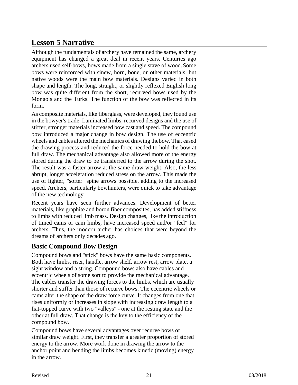# **Lesson 5 Narrative**

Although the fundamentals of archery have remained the same, archery equipment has changed a great deal in recent years. Centuries ago archers used self-bows, bows made from a single stave of wood.Some bows were reinforced with sinew, horn, bone, or other materials; but native woods were the main bow materials. Designs varied in both shape and length. The long, straight, or slightly reflexed English long bow was quite different from the short, recurved bows used by the Mongols and the Turks. The function of the bow was reflected in its form.

As composite materials, like fiberglass, were developed, they found use in the bowyer's trade. Laminated limbs, recurved designs and the use of stiffer, stronger materials increased bow cast and speed. The compound bow introduced a major change in bow design. The use of eccentric wheels and cables altered the mechanics of drawing thebow. That eased the drawing process and reduced the force needed to hold the bow at full draw. The mechanical advantage also allowed more of the energy stored during the draw to be transferred to the arrow during the shot. The result was a faster arrow at the same draw weight. Also, the less abrupt, longer acceleration reduced stress on the arrow. This made the use of lighter, "softer" spine arrows possible, adding to the increased speed. Archers, particularly bowhunters, were quick to take advantage of the new technology.

Recent years have seen further advances. Development of better materials, like graphite and boron fiber composites, has added stiffness to limbs with reduced limb mass. Design changes, like the introduction of timed cams or cam limbs, have increased speed and/or "feel" for archers. Thus, the modern archer has choices that were beyond the dreams of archers only decades ago.

#### **Basic Compound Bow Design**

Compound bows and "stick" bows have the same basic components. Both have limbs, riser, handle, arrow shelf, arrow rest, arrow plate, a sight window and a string. Compound bows also have cables and eccentric wheels of some sort to provide the mechanical advantage. The cables transfer the drawing forces to the limbs, which are usually shorter and stiffer than those of recurve bows. The eccentric wheels or cams alter the shape of the draw force curve. It changes from one that rises uniformly or increases in slope with increasing draw length to a fiat-topped curve with two "valleys" - one at the resting state and the other at full draw. That change is the key to the efficiency of the compound bow.

Compound bows have several advantages over recurve bows of similar draw weight. First, they transfer a greater proportion of stored energy to the arrow. More work done in drawing the arrow to the anchor point and bending the limbs becomes kinetic (moving) energy in the arrow.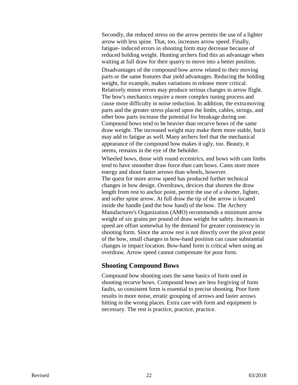Secondly, the reduced stress on the arrow permits the use of a lighter arrow with less spine. That, too, increases arrow speed. Finally, fatigue- induced errors in shooting form may decrease because of reduced holding weight. Hunting archers find this an advantage when waiting at full draw for their quarry to move into a better position.

Disadvantages of the compound bow arrow related to their moving parts or the same features that yield advantages. Reducing the holding weight, for example, makes variations in release more critical. Relatively minor errors may produce serious changes in arrow flight. The bow's mechanics require a more complex tuning process and cause more difficulty in noise reduction. In addition, the extramoving parts and the greater stress placed upon the limbs, cables, strings, and other bow parts increase the potential for breakage during use. Compound bows tend to be heavier than recurve bows of the same draw weight. The increased weight may make them more stable, but it may add to fatigue as well. Many archers feel that the mechanical appearance of the compound bow makes it ugly, too. Beauty, it seems, remains in the eye of the beholder.

Wheeled bows, those with round eccentrics, and bows with cam limbs tend to have smoother draw force *than* cam bows. Cams store more energy and shoot faster arrows than wheels, however.

The quest for more arrow speed has produced further technical changes in bow design. Overdraws, devices that shorten the draw length from rest to anchor point, permit the use of a shorter, lighter, and softer spine arrow. At full draw the tip of the arrow is located inside the handle (and the bow hand) of the bow. The Archery Manufacturer's Organization (AMO) recommends a minimum arrow weight of six grains per pound of draw weight for safety. Increases in speed are offset somewhat by the demand for greater consistency in shooting form. Since the arrow rest is not directly over the pivot point of the bow, small changes in bow-hand position can cause substantial changes in impact location. Bow-hand form is critical when using an overdraw. Arrow speed cannot compensate for poor form.

#### **Shooting Compound Bows**

Compound bow shooting uses the same basics of form used in shooting recurve bows. Compound bows are less forgiving of form faults, so consistent form is essential to precise shooting. Poor form results in more noise, erratic grouping of arrows and faster arrows hitting in the wrong places. Extra care with form and equipment is necessary. The rest is practice, practice, practice.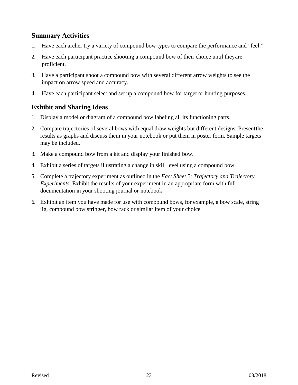#### **Summary Activities**

- 1. Have each archer try a variety of compound bow types to compare the performance and "feel."
- 2. Have each participant practice shooting a compound bow of their choice until theyare proficient.
- 3. Have a participant shoot a compound bow with several different arrow weights to see the impact on arrow speed and accuracy.
- 4. Have each participant select and set up a compound bow for target or hunting purposes.

#### **Exhibit and Sharing Ideas**

- 1. Display a model or diagram of a compound bow labeling all its functioning parts.
- 2. Compare trajectories of several bows with equal draw weights but different designs. Presentthe results as graphs and discuss them in your notebook or put them in poster form. Sample targets may be included.
- 3. Make a compound bow from a kit and display your finished bow.
- 4. Exhibit a series of targets illustrating a change in skill level using a compound bow.
- 5. Complete a trajectory experiment as outlined in the *Fact Sheet* 5: *Trajectory and Trajectory Experiments.* Exhibit the results of your experiment in an appropriate form with full documentation in your shooting journal or notebook.
- 6. Exhibit an item you have made for use with compound bows, for example, a bow scale, string jig, compound bow stringer, bow rack or similar item of your choice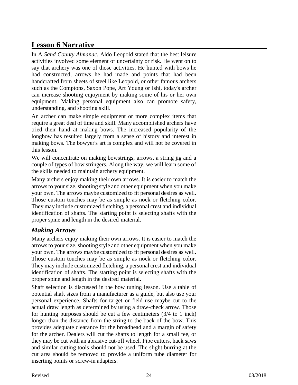# **Lesson 6 Narrative**

In A *Sand County Almanac,* Aldo Leopold stated that the best leisure activities involved some element of uncertainty or risk. He went on to say that archery was one of those activities. He hunted with bows he had constructed, arrows he had made and points that had been handcrafted from sheets of steel like Leopold, or other famous archers such as the Comptons, Saxon Pope, Art Young or Ishi, today's archer can increase shooting enjoyment by making some of his or her own equipment. Making personal equipment also can promote safety, understanding, and shooting skill.

An archer can make simple equipment or more complex items that require a great deal of time and skill. Many accomplished archers have tried their hand at making bows. The increased popularity of the longbow has resulted largely from a sense of history and interest in making bows. The bowyer's art is complex and will not be covered in this lesson.

We will concentrate on making bowstrings, arrows, a string jig and a couple of types of bow stringers. Along the way, we will learn some of the skills needed to maintain archery equipment.

Many archers enjoy making their own arrows. It is easier to match the arrowsto your size, shooting style and other equipment when you make your own. The arrows maybe customized to fit personal desires as well. Those custom touches may be as simple as nock or fletching color. They may include customized fletching, a personal crest and individual identification of shafts. The starting point is selecting shafts with the proper spine and length in the desired material.

#### *Making Arrows*

Many archers enjoy making their own arrows. It is easier to match the arrowsto your size, shooting style and other equipment when you make your own. The arrows maybe customized to fit personal desires as well. Those custom touches may be as simple as nock or fletching color. They may include customized fletching, a personal crest and individual identification of shafts. The starting point is selecting shafts with the proper spine and length in the desired material.

Shaft selection is discussed in the bow tuning lesson. Use a table of potential shaft sizes from a manufacturer as a guide, but also use your personal experience. Shafts for target or field use maybe cut to the actual draw length as determined by using a draw-check arrow. Those for hunting purposes should be cut a few centimeters (3/4 to 1 inch) longer than the distance from the string to the back of the bow. This provides adequate clearance for the broadhead and a margin of safety for the archer. Dealers will cut the shafts to length for a small fee, or they may be cut with an abrasive cut-off wheel. Pipe cutters, hack saws and similar cutting tools should not be used. The slight burring at the cut area should be removed to provide a uniform tube diameter for inserting points or screw-in adapters.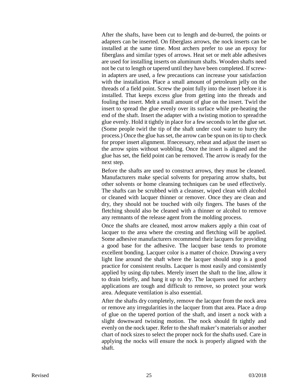After the shafts, have been cut to length and de-burred, the points or adapters can be inserted. On fiberglass arrows, the nock inserts can be installed at the same time. Most archers prefer to use an epoxy for fiberglass and similar types of arrows. Heat set or melt able adhesives are used for installing inserts on aluminum shafts. Wooden shafts need not be cut to length or tapered until they have been completed. If screwin adapters are used, a few precautions can increase your satisfaction with the installation. Place a small amount of petroleum jelly on the threads of a field point. Screw the point fully into the insert before it is installed. That keeps excess glue from getting into the threads and fouling the insert. Melt a small amount of glue on the insert. Twirl the insert to spread the glue evenly over its surface while pre-heating the end of the shaft. Insert the adapter with a twisting motion to spreadthe glue evenly. Hold it tightly in place for a few seconds to let the glue set. (Some people twirl the tip of the shaft under cool water to hurry the process.) Once the glue has set, the arrow can be spun on itstip to check for proper insert alignment. Ifnecessary, reheat and adjust the insert so the arrow spins without wobbling. Once the insert is aligned and the glue has set, the field point can be removed. The arrow is ready for the next step.

Before the shafts are used to construct arrows, they must be cleaned. Manufacturers make special solvents for preparing arrow shafts, but other solvents or home cleansing techniques can be used effectively. The shafts can be scrubbed with a cleanser, wiped clean with alcohol or cleaned with lacquer thinner or remover. Once they are clean and dry, they should not be touched with oily fingers. The bases of the fletching should also be cleaned with a thinner or alcohol to remove any remnants of the release agent from the molding process.

Once the shafts are cleaned, most arrow makers apply a thin coat of lacquer to the area where the cresting and fletching will be applied. Some adhesive manufacturers recommend their lacquers for providing a good base for the adhesive. The lacquer base tends to promote excellent bonding. Lacquer color is a matter of choice. Drawing a very light line around the shaft where the lacquer should stop is a good practice for consistent results. Lacquer is most easily and consistently applied by using dip tubes. Merely insert the shaft to the line, allow it to drain briefly, and hang it up to dry. The lacquers used for archery applications are tough and difficult to remove, so protect your work area. Adequate ventilation is also essential.

After the shafts dry completely, remove the lacquer from the nock area or remove any irregularities in the lacquer from that area. Place a drop of glue on the tapered portion of the shaft, and insert a nock with a slight downward twisting motion. The nock should fit tightly and evenly on the nock taper. Refer to the shaft maker's materials or another chart of nock sizes to select the proper nock for the shafts used. Care in applying the nocks will ensure the nock is properly aligned with the shaft.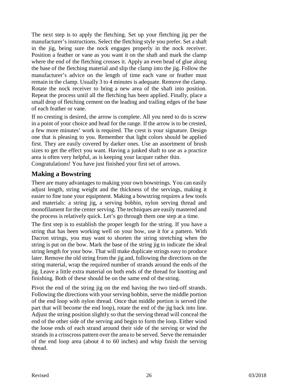The next step is to apply the fletching. Set up your fletching jig per the manufacturer's instructions. Select the fletching style you prefer. Set a shaft in the jig, being sure the nock engages properly in the nock receiver. Position a feather or vane as you want it on the shaft and mark the clamp where the end of the fletching crosses it. Apply an even bead of glue along the base of the fletching material and slip the clamp into the jig. Follow the manufacturer's advice on the length of time each vane or feather must remain in the clamp. Usually 3 to 4 minutes is adequate. Remove the clamp. Rotate the nock receiver to bring a new area of the shaft into position. Repeat the process until all the fletching has been applied. Finally, place a small drop of fletching cement on the leading and trailing edges of the base of each feather or vane.

If no cresting is desired, the arrow is complete. All you need to do is screw in a point of your choice and head for the range. If the arrow isto be crested, a few more minutes' work is required. The crest is your signature. Design one that is pleasing to you. Remember that light colors should be applied first. They are easily covered by darker ones. Use an assortment of brush sizes to get the effect you want. Having a junked shaft to use as a practice area is often very helpful, as is keeping your lacquer rather thin.

Congratulations! You have just finished your first set of arrows.

#### **Making a Bowstring**

There are many advantages to making your own bowstrings. You can easily adjust length, string weight and the thickness of the servings, making it easier to fine tune your equipment. Making a bowstring requires a few tools and materials: a string jig, a serving bobbin, nylon serving thread and monofilament for the center serving. The techniques are easily mastered and the process is relatively quick. Let's go through them one step at a time.

The first step is to establish the proper length for the string. If you have a string that has been working well on your bow, use it for a pattern. With Dacron strings, you may want to shorten the string stretching when the string is put on the bow. Mark the base of the string jig to indicate the ideal string length for your bow. That will make duplicate strings easy to produce later. Remove the old string from the jig and, following the directions on the string material, wrap the required number of strands around the ends of the jig. Leave a little extra material on both ends of the thread for knotting and finishing. Both of these should be on the same end of the string.

Pivot the end of the string jig on the end having the two tied-off strands. Following the directions with your serving bobbin, serve the middle portion of the end loop with nylon thread. Once that middle portion is served (the part that will become the end loop), rotate the end of the jig back into line. Adjust the string position slightly so that the serving thread will conceal the end of the other side of the serving and begin to form the loop. Either wind the loose ends of each strand around their side of the serving or wind the strands in a crisscross pattern over the area to be served. Serve the remainder of the end loop area (about 4 to 60 inches) and whip finish the serving thread.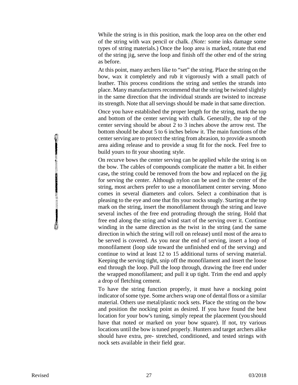While the string is in this position, mark the loop area on the other end of the string with wax pencil or chalk. *(Note:* some inks damage some types of string materials.) Once the loop area is marked, rotate that end of the string jig, serve the loop and finish off the other end of the string as before.

At this point, many archers like to "set" the string. Place the string on the bow, wax it completely and rub it vigorously with a small patch of leather. This process conditions the string and settles the strands into place. Many manufacturers recommend that the string be twisted slightly in the same direction that the individual strands are twisted to increase its strength. Note that all servings should be made in that same direction.

Once you have established the proper length for the string, mark the top and bottom of the center serving with chalk. Generally, the top of the center serving should be about 2 to 3 inches above the arrow rest. The bottom should be about 5 to 6 inches below it. The main functions of the center serving are to protect the string from abrasion, to provide a smooth area aiding release and to provide a snug fit for the nock. Feel free to build yours to fit your shooting style.

On recurve bows the center serving can be applied while the string is on the bow. The cables of compounds complicate the matter a bit. In either case**,** the string could be removed from the bow and replaced on the jig for serving the center. Although nylon can be used in the center of the string, most archers prefer to use a monofilament center serving. Mono comes in several diameters and colors. Select a combination that is pleasing to the eye and one that fits your nocks snugly. Starting at the top mark on the string, insert the monofilament through the string and leave several inches of the free end protruding through the string. Hold that free end along the string and wind start of the serving over it. Continue winding in the same direction as the twist in the string (and the same direction in which the string will roll on release) until most of the area to be served is covered. As you near the end of serving, insert a loop of monofilament (loop side toward the unfinished end of the serving) and continue to wind at least 12 to 15 additional turns of serving material. Keeping the serving tight, snip off the monofilament and insert the loose end through the loop. Pull the loop through, drawing the free end under the wrapped monofilament; and pull it up tight. Trim the end and apply a drop of fletching cement.

To have the string function properly, it must have a nocking point indicator of some type. Some archers wrap one of dental floss or a similar material. Others use metal/plastic nock sets. Place the string on the bow and position the nocking point as desired. If you have found the best location for your bow's tuning, simply repeat the placement (you should have that noted or marked on your bow square). If not, try various locations until the bow istuned properly. Hunters and target archers alike should have extra, pre- stretched, conditioned, and tested strings with nock sets available in their field gear.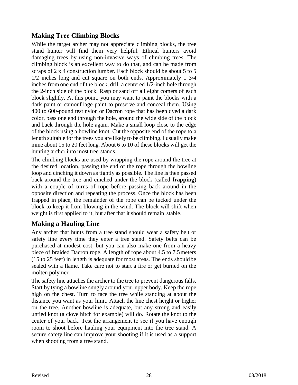#### **Making Tree Climbing Blocks**

While the target archer may not appreciate climbing blocks, the tree stand hunter will find them very helpful. Ethical hunters avoid damaging trees by using non-invasive ways of climbing trees. The climbing block is an excellent way to do that, and can be made from scraps of 2 x 4 construction lumber. Each block should be about 5 to 5 1/2 inches long and cut square on both ends. Approximately 1 3/4 inches from one end of the block, drill a centered 1/2-inch hole through the 2-inch side of the block. Rasp or sand off all eight comers of each block slightly. At this point, you may want to paint the blocks with a dark paint or camouflage paint to preserve and conceal them. Using 400 to 600-pound test nylon or Dacron rope that has been dyed a dark color, pass one end through the hole, around the wide side of the block and back through the hole again. Make a small loop close to the edge of the block using a bowline knot. Cut the opposite end of the rope to a length suitable for the trees you are likely to be climbing. I usually make mine about 15 to 20 feet long. About 6 to 10 of these blocks will get the hunting archer into most tree stands.

The climbing blocks are used by wrapping the rope around the tree at the desired location, passing the end of the rope through the bowline loop and cinching it down as tightly as possible. The line is then passed back around the tree and cinched under the block (called **frapping**) with a couple of turns of rope before passing back around in the opposite direction and repeating the process. Once the block has been frapped in place, the remainder of the rope can be tucked under the block to keep it from blowing in the wind. The block will shift when weight is first applied to it, but after that it should remain stable.

#### **Making a Hauling Line**

Any archer that hunts from a tree stand should wear a safety belt or safety line every time they enter a tree stand. Safety belts can be purchased at modest cost, but you can also make one from a heavy piece of braided Dacron rope. A length of rope about 4.5 to 7.5meters (15 to 25 feet) in length is adequate for most areas. The ends shouldbe sealed with a flame. Take care not to start a fire or get burned on the molten polymer.

The safety line attaches the archer to the tree to prevent dangerous falls. Start by tying a bowline snugly around your upper body. Keep the rope high on the chest. Turn to face the tree while standing at about the distance you want as your limit. Attach the line chest height or higher on the tree. Another bowline is adequate, but any strong and easily untied knot (a clove hitch for example) will do. Rotate the knot to the center of your back. Test the arrangement to see if you have enough room to shoot before hauling your equipment into the tree stand. A secure safety line can improve your shooting if it is used as a support when shooting from a tree stand.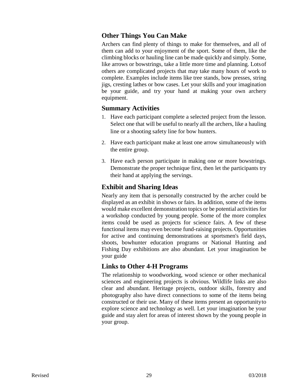#### **Other Things You Can Make**

Archers can find plenty of things to make for themselves, and all of them can add to your enjoyment of the sport. Some of them, like the climbing blocks or hauling line can be made quickly and simply. Some, like arrows or bowstrings, take a little more time and planning. Lotsof others are complicated projects that may take many hours of work to complete. Examples include items like tree stands, bow presses, string jigs, cresting lathes or bow cases. Let your skills and your imagination be your guide, and try your hand at making your own archery equipment.

#### **Summary Activities**

- 1. Have each participant complete a selected project from the lesson. Select one that will be useful to nearly all the archers, like a hauling line or a shooting safety line for bow hunters.
- 2. Have each participant make at least one arrow simultaneously with the entire group.
- 3. Have each person participate in making one or more bowstrings. Demonstrate the proper technique first, then let the participants try their hand at applying the servings.

#### **Exhibit and Sharing Ideas**

Nearly any item that is personally constructed by the archer could be displayed as an exhibit in shows or fairs. In addition, some of the items would make excellent demonstration topics or be potential activities for a workshop conducted by young people. Some of the more complex items could be used as projects for science fairs. A few of these functional items may even become fund-raising projects. Opportunities for active and continuing demonstrations at sportsmen's field days, shoots, bowhunter education programs or National Hunting and Fishing Day exhibitions are also abundant. Let your imagination be your guide

#### **Links to Other 4-H Programs**

The relationship to woodworking, wood science or other mechanical sciences and engineering projects is obvious. Wildlife links are also clear and abundant. Heritage projects, outdoor skills, forestry and photography also have direct connections to some of the items being constructed or their use. Many of these items present an opportunityto explore science and technology as well. Let your imagination be your guide and stay alert for areas of interest shown by the young people in your group.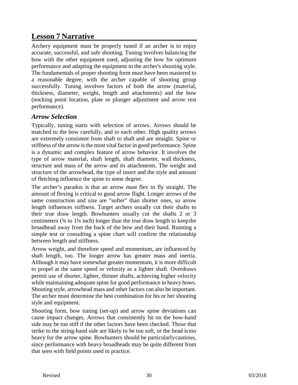# **Lesson 7 Narrative**

Archery equipment must be properly tuned if an archer is to enjoy accurate, successful, and safe shooting. Tuning involves balancing the bow with the other equipment used, adjusting the bow for optimum performance and adapting the equipment to the archer's shooting style. The fundamentals of proper shooting form must have been mastered to a reasonable degree, with the archer capable of shooting group successfully. Tuning involves factors of both the arrow (material, thickness, diameter, weight, length and attachments) and the bow (nocking point location, plate or plunger adjustment and arrow rest performance).

#### *Arrow Selection*

Typically, tuning starts with selection of arrows. Arrows should be matched to the bow carefully, and to each other. High quality arrows are extremely consistent from shaft to shaft and are straight. Spine or stiffness of the arrow is the most vital factor in good performance. Spine is a dynamic and complex feature of arrow behavior. It involves the type of arrow material, shaft length, shaft diameter, wall thickness, structure and mass of the arrow and its attachments. The weight and structure of the arrowhead, the type of insert and the style and amount of fletching influence the spine to some degree.

The archer's paradox is that an arrow must flex to fly straight. The amount of flexing is critical to good arrow flight. Longer arrows of the same construction and size are "softer" than shorter ones, so arrow length influences stiffness. Target archers usually cut their shafts to their true draw length. Bowhunters usually cut the shafts 2 or 3 centimeters  $(34 \text{ to } 1\frac{1}{4} \text{ inch})$  longer than the true draw length to keep the broadhead away from the back of the bow and their hand. Running a simple test or consulting a spine chart will confirm the relationship between length and stiffness.

Arrow weight, and therefore speed and momentum, are influenced by shaft length, too. The longer arrow has greater mass and inertia. Although it may have somewhat greater momentum, it is more difficult to propel at the same speed or velocity as a lighter shaft. Overdraws permit use of shorter, lighter, thinner shafts, achieving higher velocity while maintaining adequate spine for good performance in heavy bows. Shooting style, arrowhead mass and other factors can also be important. The archer must determine the best combination for his or her shooting style and equipment.

Shooting form, bow tuning (set-up) and arrow spine deviations can cause impact changes. Arrows that consistently hit on the bow-hand side may be too stiff if the other factors have been checked. Those that strike to the string-hand side are likely to be too soft, or the head istoo heavy for the arrow spine. Bowhunters should be particularlycautious, since performance with heavy broadheads may be quite different from that seen with field points used in practice.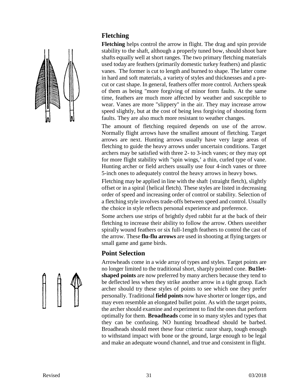#### **Fletching**



**Fletching** helps control the arrow in flight. The drag and spin provide stability to the shaft, although a properly tuned bow, should shoot bare shafts equally well at short ranges. The two primary fletching materials used today are feathers (primarily domestic turkey feathers) and plastic vanes. The former is cut to length and burned to shape. The latter come in hard and soft materials, a variety of styles and thicknesses and a precut or cast shape. In general, feathers offer more control. Archers speak of them as being "more forgiving of minor form faults. At the same time, feathers are much more affected by weather and susceptible to wear. Vanes are more "slippery" in the air. They may increase arrow speed slightly, but at the cost of being less forgiving of shooting form faults. They are also much more resistant to weather changes.

The amount of fletching required depends on use of the arrow. Normally flight arrows have the smallest amount of fletching. Target arrows are next. Hunting arrows usually have very large areas of fletching to guide the heavy arrows under uncertain conditions. Target archers may be satisfied with three 2- to 3-inch vanes; or they may opt for more flight stability with "spin wings,' a thin, curled type of vane. Hunting archer or field archers usually use four 4-inch vanes or three 5-inch ones to adequately control the heavy arrows in heavy bows.

Fletching may be applied in line with the shaft {straight fletch), slightly offset or in a spiral {helical fletch). These styles are listed in decreasing order of speed and increasing order of control or stability. Selection of a fletching style involves trade-offs between speed and control. Usually the choice in style reflects personal experience and preference.

Some archers use strips of brightly dyed rabbit fur at the back of their fletching to increase their ability to follow the arrow. Others useeither spirally wound feathers or six full-1ength feathers to control the cast of the arrow. These **flu-flu arrows** are used in shooting at flying targets or small game and game birds.

#### **Point Selection**

Arrowheads come in a wide array of types and styles. Target points are no longer limited to the traditional short, sharply pointed cone. **Bu1letshaped points** are now preferred by many archers because they tend to be deflected less when they strike another arrow in a tight group. Each archer should try these styles of points to see which one they prefer personally. Traditional **field points** now have shorter or longer tips, and may even resemble an elongated bullet point. As with the target points, the archer should examine and experiment to find the ones that perform optimally for them. **Broadheads** come in so many styles and types that they can be confusing. NO hunting broadhead should be barbed. Broadheads should meet these four criteria: razor sharp, tough enough to withstand impact with bone or the ground, large enough to be legal and make an adequate wound channel, and true and consistent in flight.

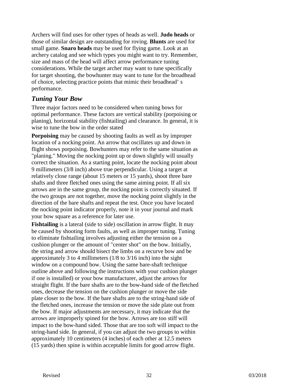Archers will find uses for other types of heads as well. **Judo heads** or those of similar design are outstanding for roving. **Blunts** are used for small game. **Snaro heads** may be used for flying game. Look at an archery catalog and see which types you might want to try. Remember, size and mass of the head will affect arrow performance tuning considerations. While the target archer may want to tune specifically for target shooting, the bowhunter may want to tune for the broadhead of choice, selecting practice points that mimic their broadhead' s performance.

#### *Tuning Your Bow*

Three major factors need to be considered when tuning bows for optimal performance. These factors are vertical stability (porpoising or planing), horizontal stability (fishtailing) and clearance. In general, it is wise to tune the bow in the order stated

**Porpoising** may be caused by shooting faults as well as by improper location of a nocking point. An arrow that oscillates up and down in flight shows porpoising. Bowhunters may refer to the same situation as "planing." Moving the nocking point up or down slightly will usually correct the situation. As a starting point, locate the nocking point about 9 millimeters (3/8 inch) above true perpendicular. Using a target at relatively close range (about 15 meters or 15 yards), shoot three bare shafts and three fletched ones using the same aiming point. If all six arrows are in the same group, the nocking point is correctly situated. If the two groups are not together, move the nocking point slightly in the direction of the bare shafts and repeat the test. Once you have located the nocking point indicator properly, note it in your journal and mark your bow square as a reference for later use.

**Fishtailing** is a lateral (side to side) oscillation in arrow flight. It may be caused by shooting form faults, as well as improper tuning. Tuning to eliminate fishtailing involves adjusting either the tension on a cushion plunger or the amount of "center shot" on the bow. Initially, the string and arrow should bisect the limbs on a recurve bow and be approximately 3 to 4 millimeters (1/8 to 3/16 inch) into the sight window on a compound bow. Using the same bare-shaft technique outline above and following the instructions with your cushion plunger if one is installed) or your bow manufacturer, adjust the arrows for straight flight. If the bare shafts are to the bow-hand side of the fletched ones, decrease the tension on the cushion plunger or move the side plate closer to the bow. If the bare shafts are to the string-hand side of the fletched ones, increase the tension or move the side plate out from the bow. If major adjustments are necessary, it may indicate that the arrows are improperly spined for the bow. Arrows are too stiff will impact to the bow-hand sided. Those that are too soft will impact to the string-hand side. In general, if you can adjust the two groups to within approximately 10 centimeters (4 inches) of each other at 12.5 meters (15 yards) then spine is within acceptable limits for good arrow flight.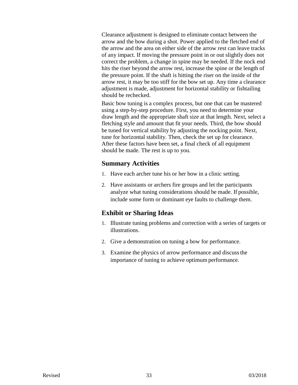Clearance adjustment is designed to eliminate contact between the arrow and the bow during a shot. Power applied to the fletched end of the arrow and the area on either side of the arrow rest can leave tracks of any impact. If moving the pressure point in or out slightly does not correct the problem, a change in spine may be needed. If the nock end hits the riser beyond the arrow rest, increase the spine or the length of the pressure point. If the shaft is hitting the riser on the inside of the arrow rest, it may be too stiff for the bow set up. Any time a clearance adjustment is made, adjustment for horizontal stability or fishtailing should be rechecked.

Basic bow tuning is a complex process, but one that can be mastered using a step-by-step procedure. First, you need to determine your draw length and the appropriate shaft size at that length. Next, select a fletching style and amount that fit your needs. Third, the bow should be tuned for vertical stability by adjusting the nocking point. Next, tune for horizontal stability. Then, check the set up for clearance. After these factors have been set, a final check of all equipment should be made. The rest is up to you.

#### **Summary Activities**

- 1. Have each archer tune his or her bow in a clinic setting.
- 2. Have assistants or archers fire groups and let the participants analyze what tuning considerations should be made. If possible, include some form or dominant eye faults to challenge them.

#### **Exhibit or Sharing Ideas**

- 1. Illustrate tuning problems and correction with a series of targets or illustrations.
- 2. Give a demonstration on tuning a bow for performance.
- 3. Examine the physics of arrow performance and discussthe importance of tuning to achieve optimum performance.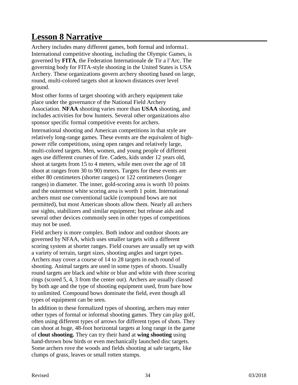# **Lesson 8 Narrative**

Archery includes many different games, both formal and informa1. International competitive shooting, including the Olympic Games, is governed by **FITA**, the Federation Internationale de Tir a l'Arc. The governing body for FITA-style shooting in the United States is USA Archery. These organizations govern archery shooting based on large, round, multi-colored targets shot at known distances over level ground.

Most other forms of target shooting with archery equipment take place under the governance of the National Field Archery Association. **NFAA** shooting varies more than **USAA** shooting, and includes activities for bow hunters. Several other organizations also sponsor specific formal competitive events for archers.

International shooting and American competitions in that style are relatively long-range games. These events are the equivalent of highpower rifle competitions, using open ranges and relatively large, multi-colored targets. Men, women, and young people of different ages use different courses of fire. Cadets, kids under 12 years old, shoot at targets from 15 to 4 meters, while men over the age of 18 shoot at ranges from 30 to 90) meters. Targets for these events are either 80 centimeters (shorter ranges) or 122 centimeters (longer ranges) in diameter. The inner, gold-scoring area is worth 10 points and the outermost white scoring area is worth 1 point. International archers must use conventional tackle (compound bows are not permitted), but most American shoots allow them. Nearly all archers use sights, stabilizers and similar equipment; but release aids and several other devices commonly seen in other types of competitions may not be used.

Field archery is more complex. Both indoor and outdoor shoots are governed by NFAA, which uses smaller targets with a different scoring system at shorter ranges. Field courses are usually set up with a variety of terrain, target sizes, shooting angles and target types. Archers may cover a course of 14 to 28 targets in each round of shooting. Animal targets are used in some types of shoots. Usually round targets are black and white or blue and white with three scoring rings (scored 5, 4, 3 from the center out). Archers are usually classed by both age and the type of shooting equipment used, from bare bow to unlimited. Compound bows dominate the field, even though all types of equipment can be seen.

In addition to these formalized types of shooting, archers may enter other types of formal or informal shooting games. They can play golf, often using different types of arrows for different types of shots. They can shoot at huge, 48-foot horizontal targets at long range in the game of **clout shooting.** They can try their hand at **wing shooting** using hand-thrown bow birds or even mechanically launched disc targets. Some archers rove the woods and fields shooting at safe targets, like clumps of grass, leaves or small rotten stumps.